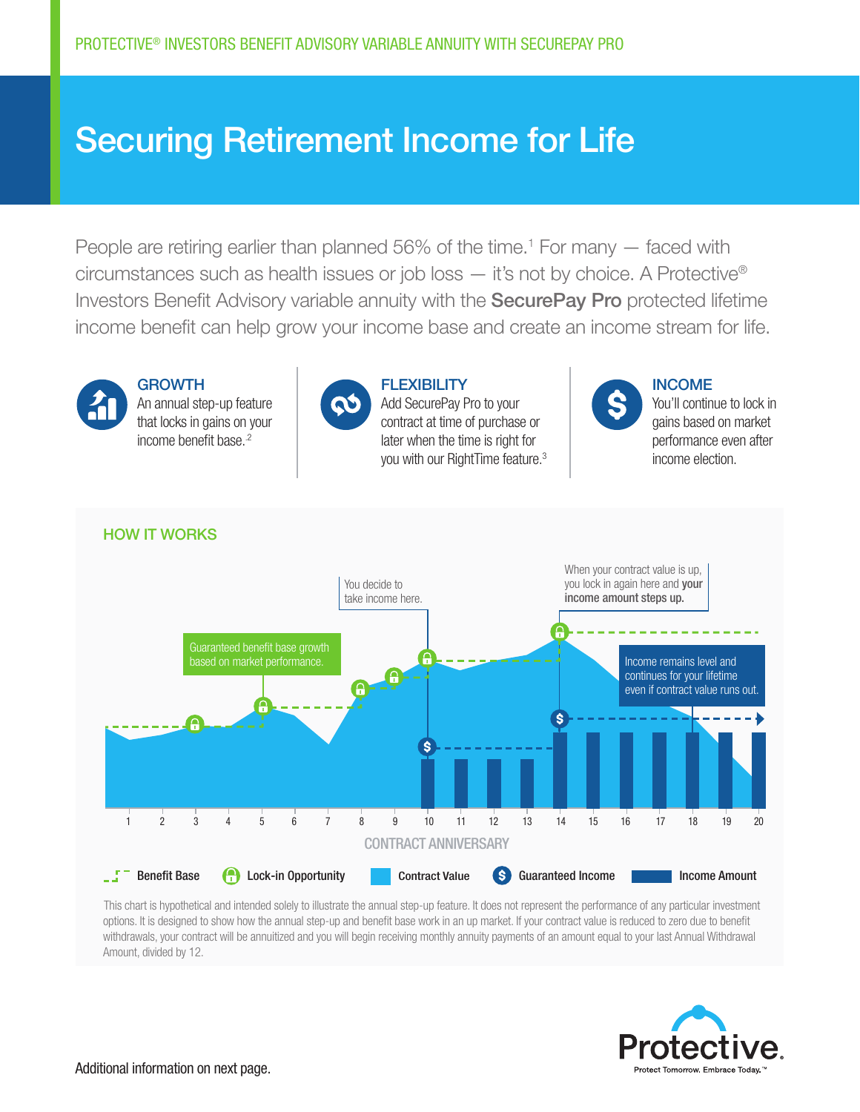## Securing Retirement Income for Life

People are retiring earlier than planned 56% of the time.<sup>1</sup> For many — faced with circumstances such as health issues or job loss — it's not by choice. A Protective® Investors Benefit Advisory variable annuity with the SecurePay Pro protected lifetime income benefit can help grow your income base and create an income stream for life.



**GROWTH** An annual step-up feature that locks in gains on your income benefit base.<sup>2</sup>



**FLEXIBILITY** Add SecurePay Pro to your contract at time of purchase or later when the time is right for you with our RightTime feature.3



INCOME

You'll continue to lock in gains based on market performance even after income election.



This chart is hypothetical and intended solely to illustrate the annual step-up feature. It does not represent the performance of any particular investment options. It is designed to show how the annual step-up and benefit base work in an up market. If your contract value is reduced to zero due to benefit withdrawals, your contract will be annuitized and you will begin receiving monthly annuity payments of an amount equal to your last Annual Withdrawal Amount, divided by 12.